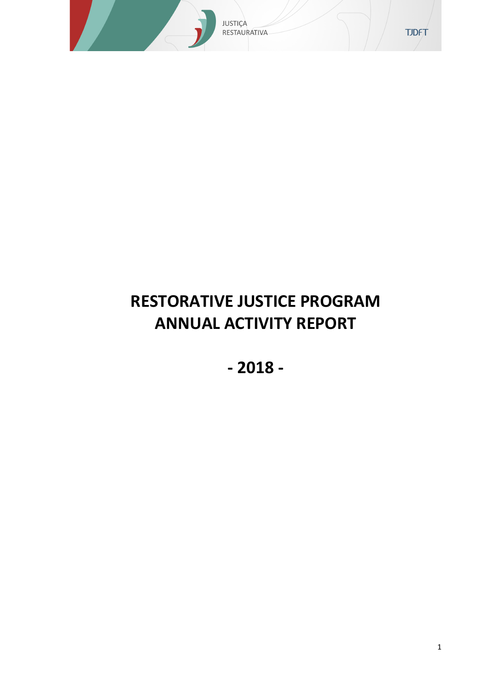

# **RESTORATIVE JUSTICE PROGRAM ANNUAL ACTIVITY REPORT**

**- 2018 -**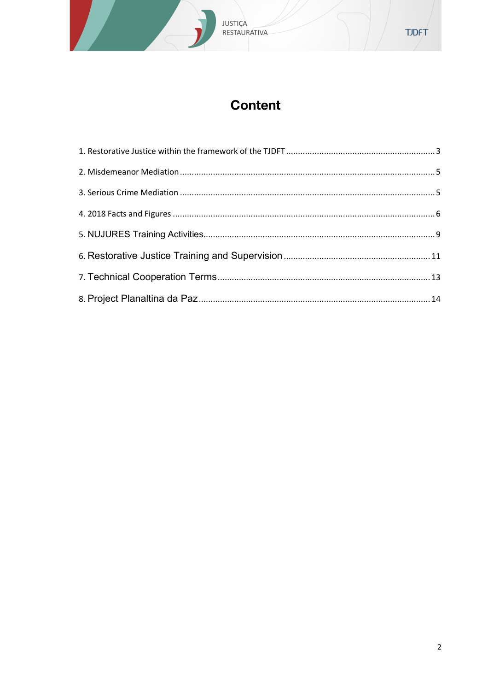# **Content**

**JUSTIÇA<br>RESTAURATIVA**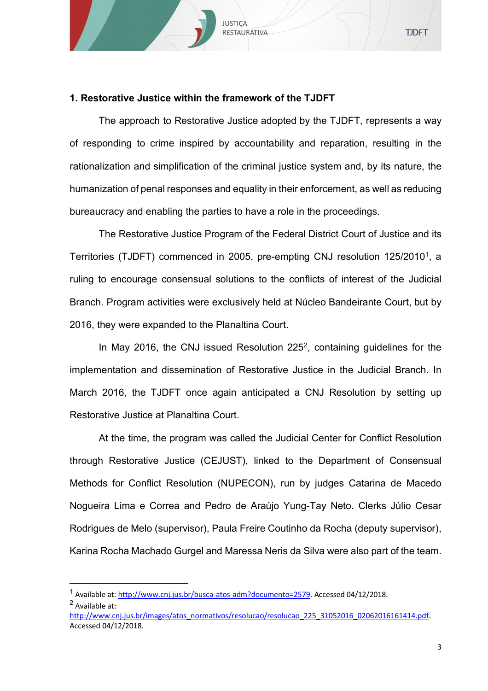# **1. Restorative Justice within the framework of the TJDFT**

JUSTIÇA **RESTAURATIVA** 

The approach to Restorative Justice adopted by the TJDFT, represents a way of responding to crime inspired by accountability and reparation, resulting in the rationalization and simplification of the criminal justice system and, by its nature, the humanization of penal responses and equality in their enforcement, as well as reducing bureaucracy and enabling the parties to have a role in the proceedings.

The Restorative Justice Program of the Federal District Court of Justice and its Territories (TJDFT) commenced in 2005, pre-empting CNJ resolution 125/2010<sup>1</sup>, a ruling to encourage consensual solutions to the conflicts of interest of the Judicial Branch. Program activities were exclusively held at Núcleo Bandeirante Court, but by 2016, they were expanded to the Planaltina Court.

In May 2016, the CNJ issued Resolution  $225<sup>2</sup>$ , containing quidelines for the implementation and dissemination of Restorative Justice in the Judicial Branch. In March 2016, the TJDFT once again anticipated a CNJ Resolution by setting up Restorative Justice at Planaltina Court.

At the time, the program was called the Judicial Center for Conflict Resolution through Restorative Justice (CEJUST), linked to the Department of Consensual Methods for Conflict Resolution (NUPECON), run by judges Catarina de Macedo Nogueira Lima e Correa and Pedro de Araújo Yung-Tay Neto. Clerks Júlio Cesar Rodrigues de Melo (supervisor), Paula Freire Coutinho da Rocha (deputy supervisor), Karina Rocha Machado Gurgel and Maressa Neris da Silva were also part of the team.

 $\overline{a}$ 

<sup>&</sup>lt;sup>1</sup> Available at: http://www.cnj.jus.br/busca-atos-adm?documento=2579</u>. Accessed 04/12/2018. <sup>2</sup> Available at:

http://www.cni.jus.br/images/atos\_normativos/resolucao/resolucao\_225\_31052016\_02062016161414.pdf. Accessed 04/12/2018.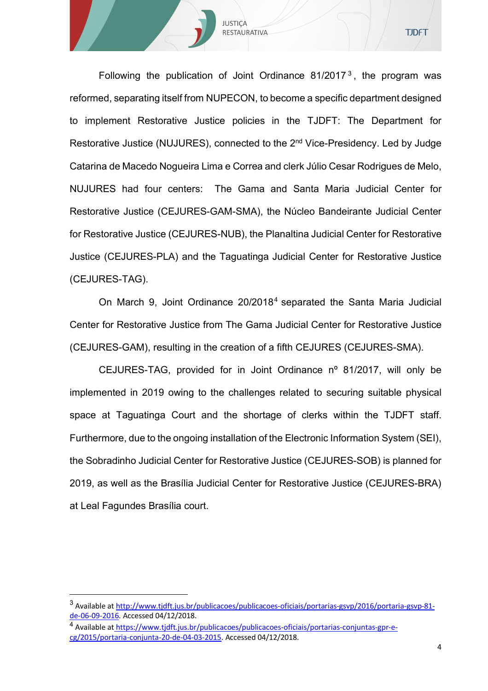Following the publication of Joint Ordinance  $81/2017<sup>3</sup>$ , the program was reformed, separating itself from NUPECON, to become a specific department designed to implement Restorative Justice policies in the TJDFT: The Department for Restorative Justice (NUJURES), connected to the 2<sup>nd</sup> Vice-Presidency. Led by Judge Catarina de Macedo Nogueira Lima e Correa and clerk Júlio Cesar Rodrigues de Melo, NUJURES had four centers: The Gama and Santa Maria Judicial Center for Restorative Justice (CEJURES-GAM-SMA), the Núcleo Bandeirante Judicial Center for Restorative Justice (CEJURES-NUB), the Planaltina Judicial Center for Restorative Justice (CEJURES-PLA) and the Taguatinga Judicial Center for Restorative Justice (CEJURES-TAG).

JUSTIÇA **RESTAURATIVA** 

On March 9, Joint Ordinance 20/20184 separated the Santa Maria Judicial Center for Restorative Justice from The Gama Judicial Center for Restorative Justice (CEJURES-GAM), resulting in the creation of a fifth CEJURES (CEJURES-SMA).

CEJURES-TAG, provided for in Joint Ordinance nº 81/2017, will only be implemented in 2019 owing to the challenges related to securing suitable physical space at Taguatinga Court and the shortage of clerks within the TJDFT staff. Furthermore, due to the ongoing installation of the Electronic Information System (SEI), the Sobradinho Judicial Center for Restorative Justice (CEJURES-SOB) is planned for 2019, as well as the Brasília Judicial Center for Restorative Justice (CEJURES-BRA) at Leal Fagundes Brasília court.

 $\overline{a}$ 

<sup>&</sup>lt;sup>3</sup> Available at http://www.tjdft.jus.br/publicacoes/publicacoes-oficiais/portarias-gsvp/2016/portaria-gsvp-81de-06-09-2016. Accessed 04/12/2018.

<sup>4</sup> Available at https://www.tjdft.jus.br/publicacoes/publicacoes-oficiais/portarias-conjuntas-gpr-ecg/2015/portaria-conjunta-20-de-04-03-2015. Accessed 04/12/2018.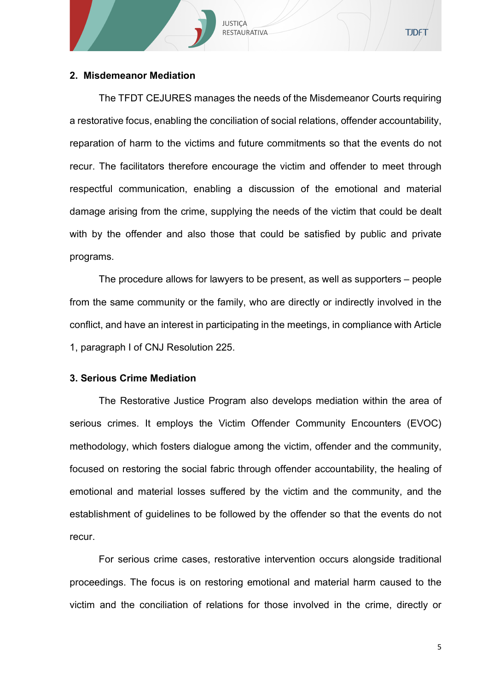# **2. Misdemeanor Mediation**

The TFDT CEJURES manages the needs of the Misdemeanor Courts requiring a restorative focus, enabling the conciliation of social relations, offender accountability, reparation of harm to the victims and future commitments so that the events do not recur. The facilitators therefore encourage the victim and offender to meet through respectful communication, enabling a discussion of the emotional and material damage arising from the crime, supplying the needs of the victim that could be dealt with by the offender and also those that could be satisfied by public and private programs.

JUSTIÇA RESTAURATIVA

The procedure allows for lawyers to be present, as well as supporters – people from the same community or the family, who are directly or indirectly involved in the conflict, and have an interest in participating in the meetings, in compliance with Article 1, paragraph I of CNJ Resolution 225.

## **3. Serious Crime Mediation**

The Restorative Justice Program also develops mediation within the area of serious crimes. It employs the Victim Offender Community Encounters (EVOC) methodology, which fosters dialogue among the victim, offender and the community, focused on restoring the social fabric through offender accountability, the healing of emotional and material losses suffered by the victim and the community, and the establishment of guidelines to be followed by the offender so that the events do not recur.

For serious crime cases, restorative intervention occurs alongside traditional proceedings. The focus is on restoring emotional and material harm caused to the victim and the conciliation of relations for those involved in the crime, directly or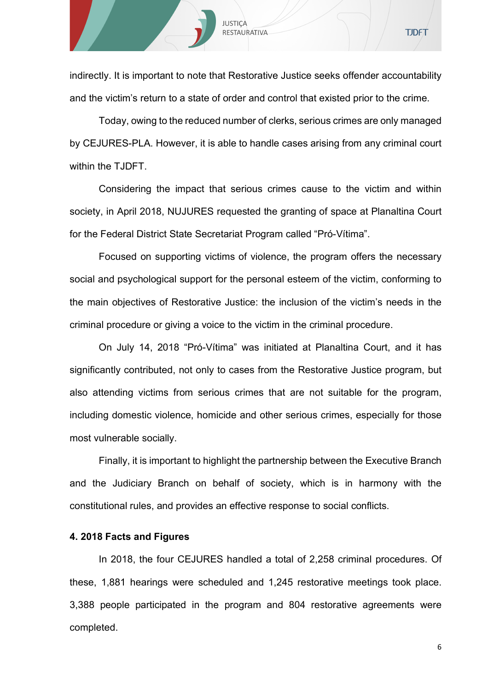indirectly. It is important to note that Restorative Justice seeks offender accountability and the victim's return to a state of order and control that existed prior to the crime.

JUSTIÇA RESTAURATIVA

Today, owing to the reduced number of clerks, serious crimes are only managed by CEJURES-PLA. However, it is able to handle cases arising from any criminal court within the TJDFT.

Considering the impact that serious crimes cause to the victim and within society, in April 2018, NUJURES requested the granting of space at Planaltina Court for the Federal District State Secretariat Program called "Pró-Vítima".

Focused on supporting victims of violence, the program offers the necessary social and psychological support for the personal esteem of the victim, conforming to the main objectives of Restorative Justice: the inclusion of the victim's needs in the criminal procedure or giving a voice to the victim in the criminal procedure.

On July 14, 2018 "Pró-Vítima" was initiated at Planaltina Court, and it has significantly contributed, not only to cases from the Restorative Justice program, but also attending victims from serious crimes that are not suitable for the program, including domestic violence, homicide and other serious crimes, especially for those most vulnerable socially.

Finally, it is important to highlight the partnership between the Executive Branch and the Judiciary Branch on behalf of society, which is in harmony with the constitutional rules, and provides an effective response to social conflicts.

#### **4. 2018 Facts and Figures**

In 2018, the four CEJURES handled a total of 2,258 criminal procedures. Of these, 1,881 hearings were scheduled and 1,245 restorative meetings took place. 3,388 people participated in the program and 804 restorative agreements were completed.

6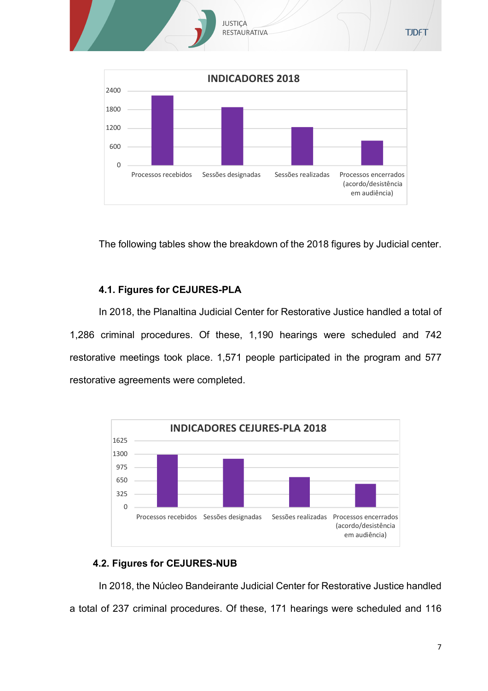



The following tables show the breakdown of the 2018 figures by Judicial center.

# **4.1. Figures for CEJURES-PLA**

In 2018, the Planaltina Judicial Center for Restorative Justice handled a total of 1,286 criminal procedures. Of these, 1,190 hearings were scheduled and 742 restorative meetings took place. 1,571 people participated in the program and 577 restorative agreements were completed.



# **4.2. Figures for CEJURES-NUB**

In 2018, the Núcleo Bandeirante Judicial Center for Restorative Justice handled a total of 237 criminal procedures. Of these, 171 hearings were scheduled and 116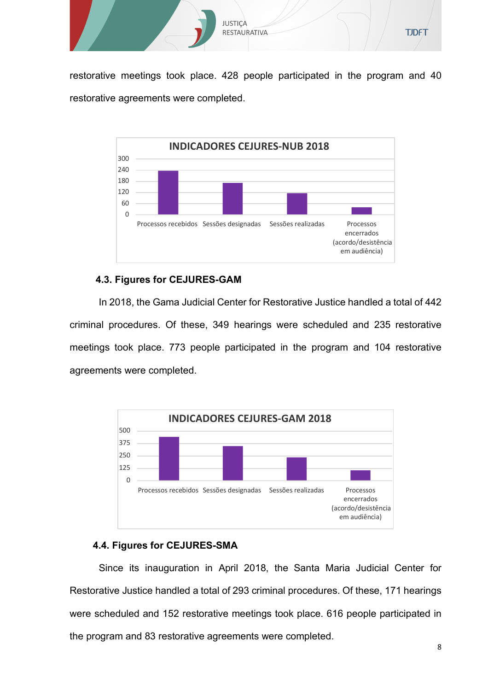

restorative meetings took place. 428 people participated in the program and 40 restorative agreements were completed.



# **4.3. Figures for CEJURES-GAM**

In 2018, the Gama Judicial Center for Restorative Justice handled a total of 442 criminal procedures. Of these, 349 hearings were scheduled and 235 restorative meetings took place. 773 people participated in the program and 104 restorative agreements were completed.



# **4.4. Figures for CEJURES-SMA**

Since its inauguration in April 2018, the Santa Maria Judicial Center for Restorative Justice handled a total of 293 criminal procedures. Of these, 171 hearings were scheduled and 152 restorative meetings took place. 616 people participated in the program and 83 restorative agreements were completed.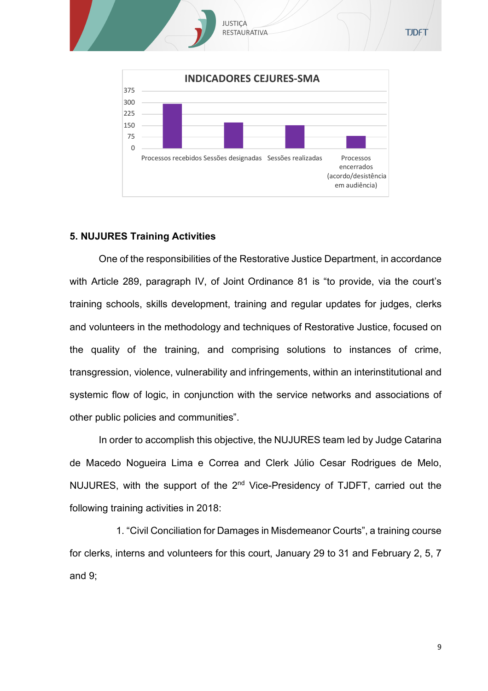

# **5. NUJURES Training Activities**

One of the responsibilities of the Restorative Justice Department, in accordance with Article 289, paragraph IV, of Joint Ordinance 81 is "to provide, via the court's training schools, skills development, training and regular updates for judges, clerks and volunteers in the methodology and techniques of Restorative Justice, focused on the quality of the training, and comprising solutions to instances of crime, transgression, violence, vulnerability and infringements, within an interinstitutional and systemic flow of logic, in conjunction with the service networks and associations of other public policies and communities".

In order to accomplish this objective, the NUJURES team led by Judge Catarina de Macedo Nogueira Lima e Correa and Clerk Júlio Cesar Rodrigues de Melo, NUJURES, with the support of the  $2<sup>nd</sup>$  Vice-Presidency of TJDFT, carried out the following training activities in 2018:

1. "Civil Conciliation for Damages in Misdemeanor Courts", a training course for clerks, interns and volunteers for this court, January 29 to 31 and February 2, 5, 7 and 9;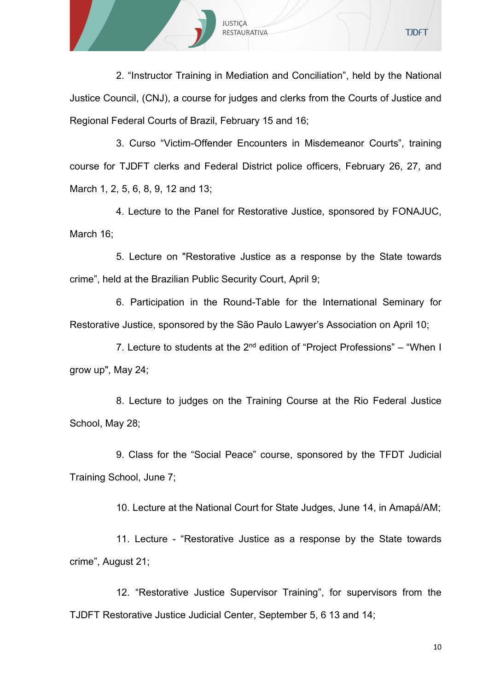

2. "Instructor Training in Mediation and Conciliation", held by the National Justice Council, (CNJ), a course for judges and clerks from the Courts of Justice and Regional Federal Courts of Brazil, February 15 and 16;

3. Curso "Victim-Offender Encounters in Misdemeanor Courts", training course for TJDFT clerks and Federal District police officers, February 26, 27, and March 1, 2, 5, 6, 8, 9, 12 and 13;

4. Lecture to the Panel for Restorative Justice, sponsored by FONAJUC, March 16;

5. Lecture on "Restorative Justice as a response by the State towards crime", held at the Brazilian Public Security Court, April 9;

6. Participation in the Round-Table for the International Seminary for Restorative Justice, sponsored by the São Paulo Lawyer's Association on April 10;

7. Lecture to students at the  $2^{nd}$  edition of "Project Professions" – "When I grow up", May 24;

8. Lecture to judges on the Training Course at the Rio Federal Justice School, May 28;

9. Class for the "Social Peace" course, sponsored by the TFDT Judicial Training School, June 7;

10. Lecture at the National Court for State Judges, June 14, in Amapá/AM;

11. Lecture - "Restorative Justice as a response by the State towards crime", August 21;

12. "Restorative Justice Supervisor Training", for supervisors from the TJDFT Restorative Justice Judicial Center, September 5, 6 13 and 14;

10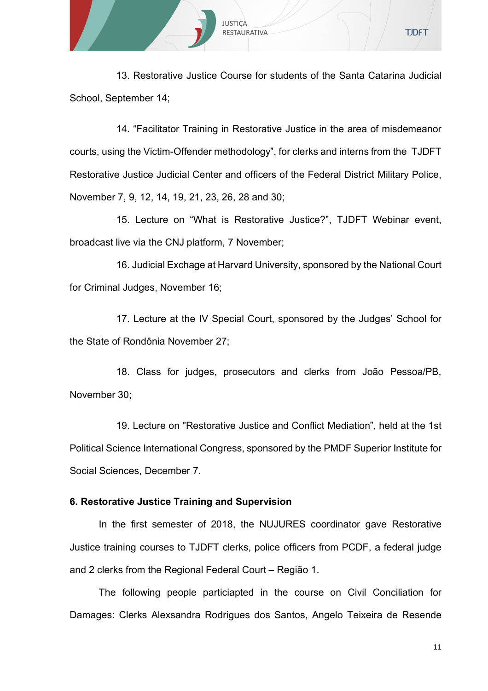

13. Restorative Justice Course for students of the Santa Catarina Judicial School, September 14;

14. "Facilitator Training in Restorative Justice in the area of misdemeanor courts, using the Victim-Offender methodology", for clerks and interns from the TJDFT Restorative Justice Judicial Center and officers of the Federal District Military Police, November 7, 9, 12, 14, 19, 21, 23, 26, 28 and 30;

15. Lecture on "What is Restorative Justice?", TJDFT Webinar event, broadcast live via the CNJ platform, 7 November;

16. Judicial Exchage at Harvard University, sponsored by the National Court for Criminal Judges, November 16;

17. Lecture at the IV Special Court, sponsored by the Judges' School for the State of Rondônia November 27;

18. Class for judges, prosecutors and clerks from João Pessoa/PB, November 30;

19. Lecture on "Restorative Justice and Conflict Mediation", held at the 1st Political Science International Congress, sponsored by the PMDF Superior Institute for Social Sciences, December 7.

# **6. Restorative Justice Training and Supervision**

In the first semester of 2018, the NUJURES coordinator gave Restorative Justice training courses to TJDFT clerks, police officers from PCDF, a federal judge and 2 clerks from the Regional Federal Court – Região 1.

The following people particiapted in the course on Civil Conciliation for Damages: Clerks Alexsandra Rodrigues dos Santos, Angelo Teixeira de Resende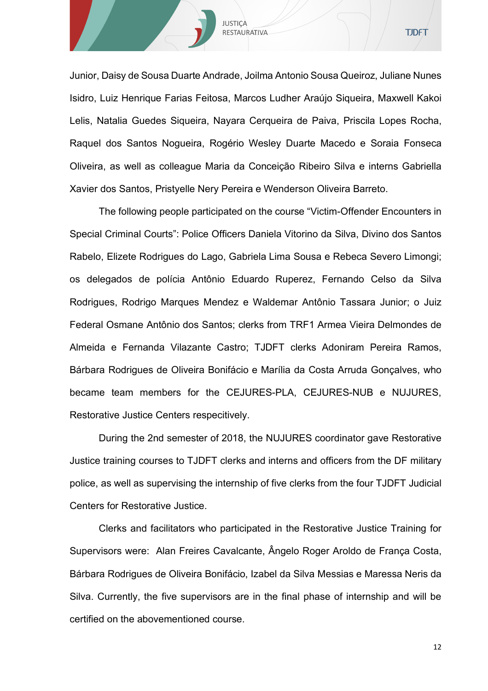

Junior, Daisy de Sousa Duarte Andrade, Joilma Antonio Sousa Queiroz, Juliane Nunes Isidro, Luiz Henrique Farias Feitosa, Marcos Ludher Araújo Siqueira, Maxwell Kakoi Lelis, Natalia Guedes Siqueira, Nayara Cerqueira de Paiva, Priscila Lopes Rocha, Raquel dos Santos Nogueira, Rogério Wesley Duarte Macedo e Soraia Fonseca Oliveira, as well as colleague Maria da Conceição Ribeiro Silva e interns Gabriella Xavier dos Santos, Pristyelle Nery Pereira e Wenderson Oliveira Barreto.

The following people participated on the course "Victim-Offender Encounters in Special Criminal Courts": Police Officers Daniela Vitorino da Silva, Divino dos Santos Rabelo, Elizete Rodrigues do Lago, Gabriela Lima Sousa e Rebeca Severo Limongi; os delegados de polícia Antônio Eduardo Ruperez, Fernando Celso da Silva Rodrigues, Rodrigo Marques Mendez e Waldemar Antônio Tassara Junior; o Juiz Federal Osmane Antônio dos Santos; clerks from TRF1 Armea Vieira Delmondes de Almeida e Fernanda Vilazante Castro; TJDFT clerks Adoniram Pereira Ramos, Bárbara Rodrigues de Oliveira Bonifácio e Marília da Costa Arruda Gonçalves, who became team members for the CEJURES-PLA, CEJURES-NUB e NUJURES, Restorative Justice Centers respecitively.

During the 2nd semester of 2018, the NUJURES coordinator gave Restorative Justice training courses to TJDFT clerks and interns and officers from the DF military police, as well as supervising the internship of five clerks from the four TJDFT Judicial Centers for Restorative Justice.

Clerks and facilitators who participated in the Restorative Justice Training for Supervisors were: Alan Freires Cavalcante, Ângelo Roger Aroldo de França Costa, Bárbara Rodrigues de Oliveira Bonifácio, Izabel da Silva Messias e Maressa Neris da Silva. Currently, the five supervisors are in the final phase of internship and will be certified on the abovementioned course.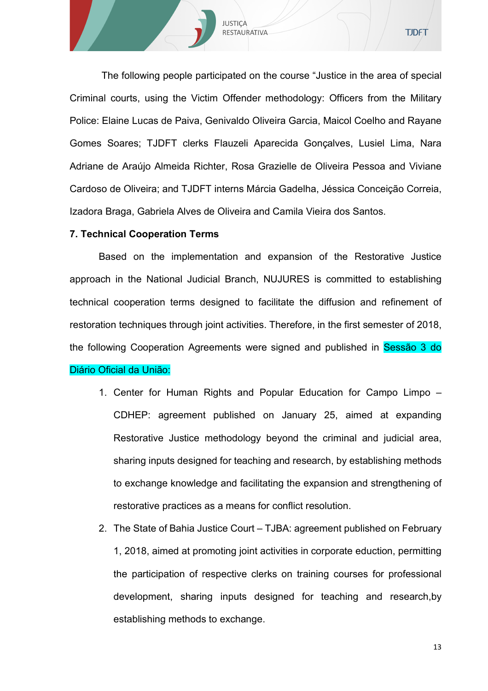The following people participated on the course "Justice in the area of special Criminal courts, using the Victim Offender methodology: Officers from the Military Police: Elaine Lucas de Paiva, Genivaldo Oliveira Garcia, Maicol Coelho and Rayane Gomes Soares; TJDFT clerks Flauzeli Aparecida Gonçalves, Lusiel Lima, Nara Adriane de Araújo Almeida Richter, Rosa Grazielle de Oliveira Pessoa and Viviane Cardoso de Oliveira; and TJDFT interns Márcia Gadelha, Jéssica Conceição Correia, Izadora Braga, Gabriela Alves de Oliveira and Camila Vieira dos Santos.

JUSTIÇA RESTAURATIVA

# **7. Technical Cooperation Terms**

Based on the implementation and expansion of the Restorative Justice approach in the National Judicial Branch, NUJURES is committed to establishing technical cooperation terms designed to facilitate the diffusion and refinement of restoration techniques through joint activities. Therefore, in the first semester of 2018, the following Cooperation Agreements were signed and published in Sessão 3 do Diário Oficial da União:

- 1. Center for Human Rights and Popular Education for Campo Limpo CDHEP: agreement published on January 25, aimed at expanding Restorative Justice methodology beyond the criminal and judicial area, sharing inputs designed for teaching and research, by establishing methods to exchange knowledge and facilitating the expansion and strengthening of restorative practices as a means for conflict resolution.
- 2. The State of Bahia Justice Court TJBA: agreement published on February 1, 2018, aimed at promoting joint activities in corporate eduction, permitting the participation of respective clerks on training courses for professional development, sharing inputs designed for teaching and research,by establishing methods to exchange.